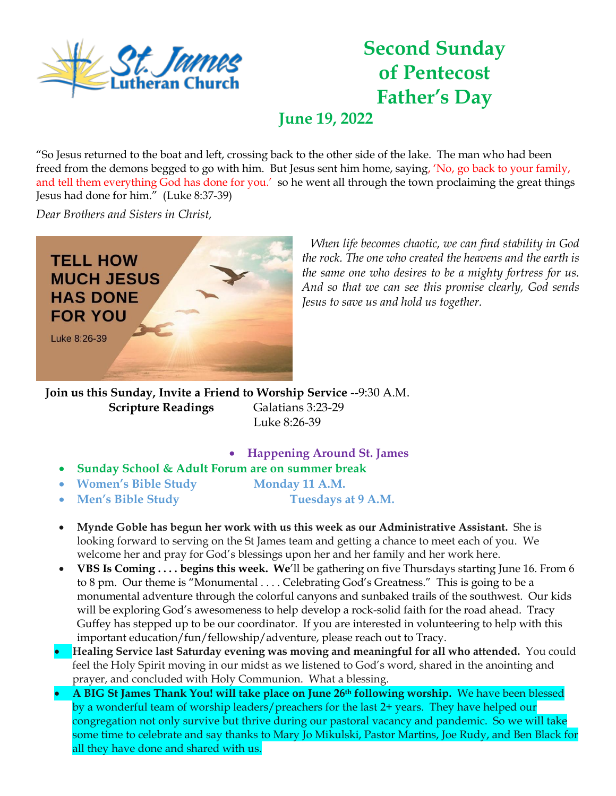

## **Second Sunday of Pentecost Father's Day**

**June 19, 2022**

"So Jesus returned to the boat and left, crossing back to the other side of the lake. The man who had been freed from the demons begged to go with him. But Jesus sent him home, saying, 'No, go back to your family, and tell them everything God has done for you.' so he went all through the town proclaiming the great things Jesus had done for him." (Luke 8:37-39)

*Dear Brothers and Sisters in Christ,* 



*When life becomes chaotic, we can find stability in God the rock. The one who created the heavens and the earth is the same one who desires to be a mighty fortress for us. And so that we can see this promise clearly, God sends Jesus to save us and hold us together.*

**Join us this Sunday, Invite a Friend to Worship Service** --9:30 A.M. **Scripture Readings Galatians 3:23-29** Luke 8:26-39

- **Happening Around St. James**
- **Sunday School & Adult Forum are on summer break**
- Women's Bible Study **Monday 11 A.M.**
- 
- **Men's Bible Study Tuesdays at 9 A.M.**

- **Mynde Goble has begun her work with us this week as our Administrative Assistant.** She is looking forward to serving on the St James team and getting a chance to meet each of you. We welcome her and pray for God's blessings upon her and her family and her work here.
- **VBS Is Coming . . . . begins this week. We**'ll be gathering on five Thursdays starting June 16. From 6 to 8 pm. Our theme is "Monumental . . . . Celebrating God's Greatness." This is going to be a monumental adventure through the colorful canyons and sunbaked trails of the southwest. Our kids will be exploring God's awesomeness to help develop a rock-solid faith for the road ahead. Tracy Guffey has stepped up to be our coordinator. If you are interested in volunteering to help with this important education/fun/fellowship/adventure, please reach out to Tracy.
- **Healing Service last Saturday evening was moving and meaningful for all who attended.** You could feel the Holy Spirit moving in our midst as we listened to God's word, shared in the anointing and prayer, and concluded with Holy Communion. What a blessing.
- **A BIG St James Thank You! will take place on June 26th following worship.** We have been blessed by a wonderful team of worship leaders/preachers for the last 2+ years. They have helped our congregation not only survive but thrive during our pastoral vacancy and pandemic. So we will take some time to celebrate and say thanks to Mary Jo Mikulski, Pastor Martins, Joe Rudy, and Ben Black for all they have done and shared with us.